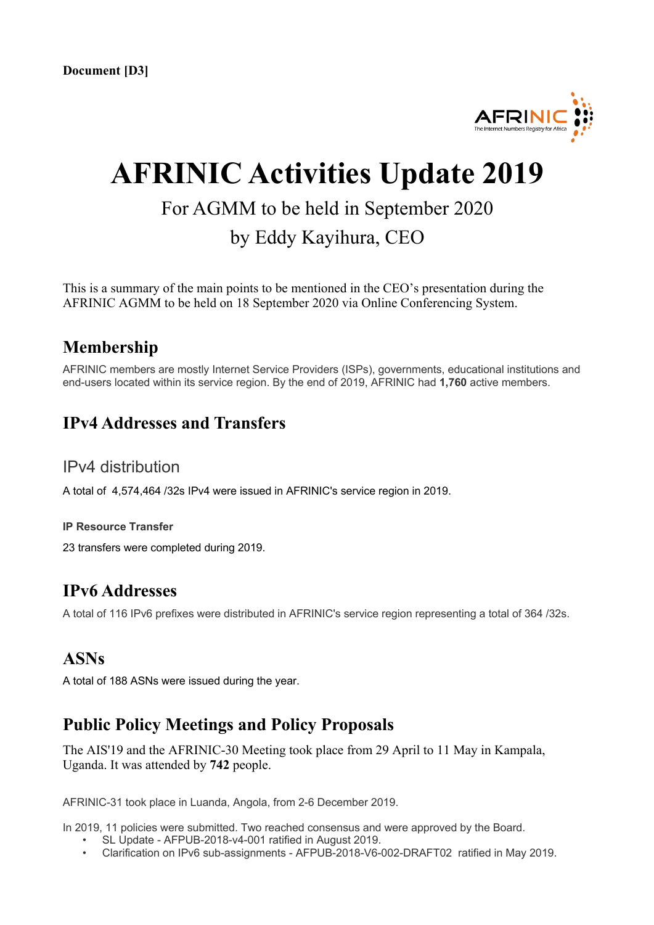

# **AFRINIC Activities Update 2019**

# For AGMM to be held in September 2020 by Eddy Kayihura, CEO

This is a summary of the main points to be mentioned in the CEO's presentation during the AFRINIC AGMM to be held on 18 September 2020 via Online Conferencing System.

#### **Membership**

AFRINIC members are mostly Internet Service Providers (ISPs), governments, educational institutions and end-users located within its service region. By the end of 2019, AFRINIC had **1,760** active members.

#### **IPv4 Addresses and Transfers**

#### IPv4 distribution

A total of 4,574,464 /32s IPv4 were issued in AFRINIC's service region in 2019.

#### **IP Resource Transfer**

23 transfers were completed during 2019.

#### **IPv6 Addresses**

A total of 116 IPv6 prefixes were distributed in AFRINIC's service region representing a total of 364 /32s.

#### **ASNs**

A total of 188 ASNs were issued during the year.

#### **Public Policy Meetings and Policy Proposals**

The AIS'19 and the AFRINIC-30 Meeting took place from 29 April to 11 May in Kampala, Uganda. It was attended by **742** people.

AFRINIC-31 took place in Luanda, Angola, from 2-6 December 2019.

In 2019, 11 policies were submitted. Two reached consensus and were approved by the Board.

- SL Update AFPUB-2018-v4-001 ratified in August 2019.
- Clarification on IPv6 sub-assignments AFPUB-2018-V6-002-DRAFT02 ratified in May 2019.